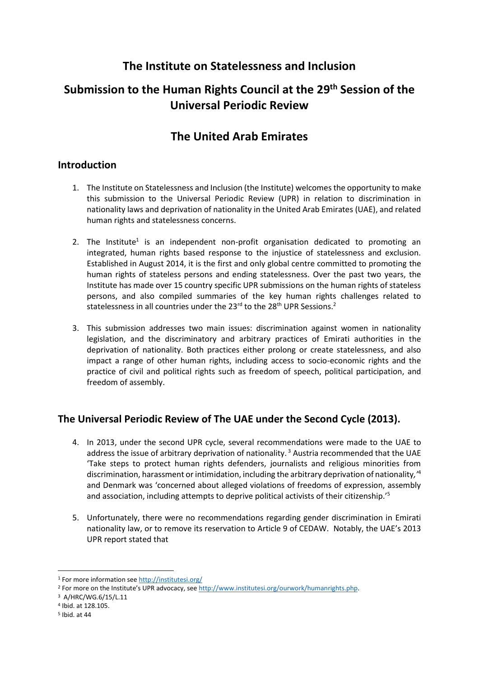# **The Institute on Statelessness and Inclusion**

# **Submission to the Human Rights Council at the 29 th Session of the Universal Periodic Review**

# **The United Arab Emirates**

### **Introduction**

- 1. The Institute on Statelessness and Inclusion (the Institute) welcomes the opportunity to make this submission to the Universal Periodic Review (UPR) in relation to discrimination in nationality laws and deprivation of nationality in the United Arab Emirates (UAE), and related human rights and statelessness concerns.
- 2. The Institute<sup>1</sup> is an independent non-profit organisation dedicated to promoting an integrated, human rights based response to the injustice of statelessness and exclusion. Established in August 2014, it is the first and only global centre committed to promoting the human rights of stateless persons and ending statelessness. Over the past two years, the Institute has made over 15 country specific UPR submissions on the human rights of stateless persons, and also compiled summaries of the key human rights challenges related to statelessness in all countries under the 23<sup>rd</sup> to the 28<sup>th</sup> UPR Sessions.<sup>2</sup>
- 3. This submission addresses two main issues: discrimination against women in nationality legislation, and the discriminatory and arbitrary practices of Emirati authorities in the deprivation of nationality. Both practices either prolong or create statelessness, and also impact a range of other human rights, including access to socio-economic rights and the practice of civil and political rights such as freedom of speech, political participation, and freedom of assembly.

## **The Universal Periodic Review of The UAE under the Second Cycle (2013).**

- 4. In 2013, under the second UPR cycle, several recommendations were made to the UAE to address the issue of arbitrary deprivation of nationality.<sup>3</sup> Austria recommended that the UAE 'Take steps to protect human rights defenders, journalists and religious minorities from discrimination, harassment or intimidation, including the arbitrary deprivation of nationality*,'*<sup>4</sup> and Denmark was 'concerned about alleged violations of freedoms of expression, assembly and association, including attempts to deprive political activists of their citizenship.<sup>'5</sup>
- 5. Unfortunately, there were no recommendations regarding gender discrimination in Emirati nationality law, or to remove its reservation to Article 9 of CEDAW. Notably, the UAE's 2013 UPR report stated that

<sup>1</sup> For more information se[e http://institutesi.org/](http://institutesi.org/)

<sup>&</sup>lt;sup>2</sup> For more on the Institute's UPR advocacy, see [http://www.institutesi.org/ourwork/humanrights.php.](http://www.institutesi.org/ourwork/humanrights.php)

<sup>3</sup> A/HRC/WG.6/15/L.11

<sup>4</sup> Ibid. at 128.105.

<sup>5</sup> Ibid. at 44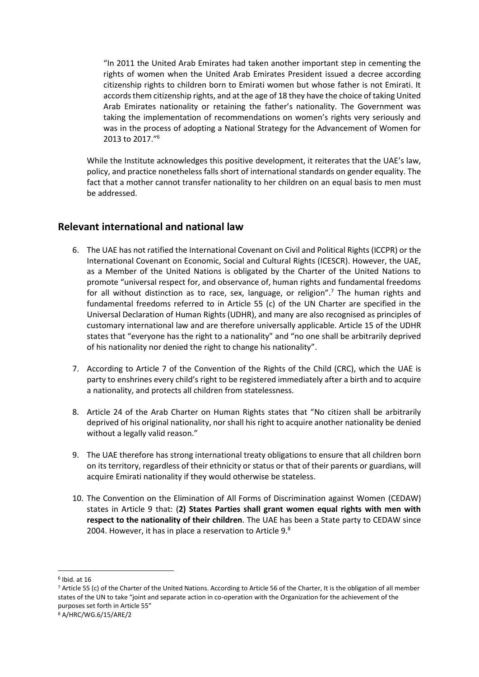"In 2011 the United Arab Emirates had taken another important step in cementing the rights of women when the United Arab Emirates President issued a decree according citizenship rights to children born to Emirati women but whose father is not Emirati. It accords them citizenship rights, and at the age of 18 they have the choice of taking United Arab Emirates nationality or retaining the father's nationality. The Government was taking the implementation of recommendations on women's rights very seriously and was in the process of adopting a National Strategy for the Advancement of Women for 2013 to 2017." 6

While the Institute acknowledges this positive development, it reiterates that the UAE's law, policy, and practice nonetheless falls short of international standards on gender equality. The fact that a mother cannot transfer nationality to her children on an equal basis to men must be addressed.

#### **Relevant international and national law**

- 6. The UAE has not ratified the International Covenant on Civil and Political Rights (ICCPR) or the International Covenant on Economic, Social and Cultural Rights (ICESCR). However, the UAE, as a Member of the United Nations is obligated by the Charter of the United Nations to promote "universal respect for, and observance of, human rights and fundamental freedoms for all without distinction as to race, sex, language, or religion".<sup>7</sup> The human rights and fundamental freedoms referred to in Article 55 (c) of the UN Charter are specified in the Universal Declaration of Human Rights (UDHR), and many are also recognised as principles of customary international law and are therefore universally applicable. Article 15 of the UDHR states that "everyone has the right to a nationality" and "no one shall be arbitrarily deprived of his nationality nor denied the right to change his nationality".
- 7. According to Article 7 of the Convention of the Rights of the Child (CRC), which the UAE is party to enshrines every child's right to be registered immediately after a birth and to acquire a nationality, and protects all children from statelessness.
- 8. Article 24 of the Arab Charter on Human Rights states that "No citizen shall be arbitrarily deprived of his original nationality, nor shall his right to acquire another nationality be denied without a legally valid reason."
- 9. The UAE therefore has strong international treaty obligations to ensure that all children born on its territory, regardless of their ethnicity or status or that of their parents or guardians, will acquire Emirati nationality if they would otherwise be stateless.
- 10. The Convention on the Elimination of All Forms of Discrimination against Women (CEDAW) states in Article 9 that: (**2) States Parties shall grant women equal rights with men with respect to the nationality of their children**. The UAE has been a State party to CEDAW since 2004. However, it has in place a reservation to Article 9.<sup>8</sup>

<sup>6</sup> Ibid. at 16

<sup>7</sup> Article 55 (c) of the Charter of the United Nations. According to Article 56 of the Charter, It is the obligation of all member states of the UN to take "joint and separate action in co-operation with the Organization for the achievement of the purposes set forth in Article 55" <sup>8</sup> A/HRC/WG.6/15/ARE/2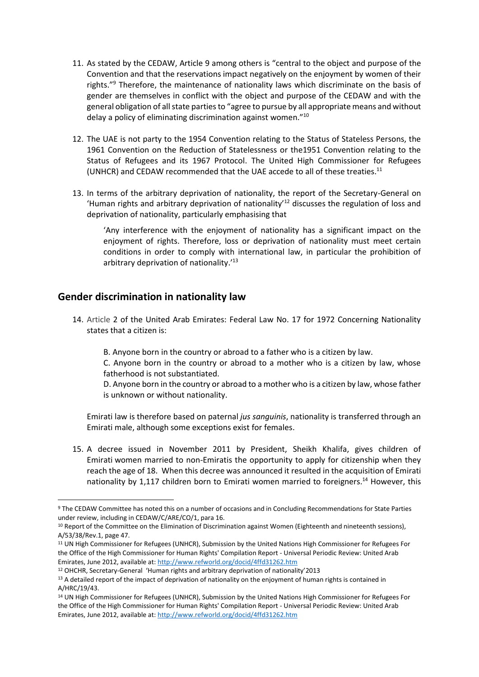- 11. As stated by the CEDAW, Article 9 among others is "central to the object and purpose of the Convention and that the reservations impact negatively on the enjoyment by women of their rights."<sup>9</sup> Therefore, the maintenance of nationality laws which discriminate on the basis of gender are themselves in conflict with the object and purpose of the CEDAW and with the general obligation of all state parties to "agree to pursue by all appropriate means and without delay a policy of eliminating discrimination against women."<sup>10</sup>
- 12. The UAE is not party to the 1954 Convention relating to the Status of Stateless Persons, the 1961 Convention on the Reduction of Statelessness or the1951 Convention relating to the Status of Refugees and its 1967 Protocol. The United High Commissioner for Refugees (UNHCR) and CEDAW recommended that the UAE accede to all of these treaties. 11
- 13. In terms of the arbitrary deprivation of nationality, the report of the Secretary-General on 'Human rights and arbitrary deprivation of nationality<sup>12</sup> discusses the regulation of loss and deprivation of nationality, particularly emphasising that

'Any interference with the enjoyment of nationality has a significant impact on the enjoyment of rights. Therefore, loss or deprivation of nationality must meet certain conditions in order to comply with international law, in particular the prohibition of arbitrary deprivation of nationality.<sup>'13</sup>

#### **Gender discrimination in nationality law**

**.** 

- 14. Article 2 of the United Arab Emirates: Federal Law No. 17 for 1972 Concerning Nationality states that a citizen is:
	- B. Anyone born in the country or abroad to a father who is a citizen by law.
	- C. Anyone born in the country or abroad to a mother who is a citizen by law, whose fatherhood is not substantiated.
	- D. Anyone born in the country or abroad to a mother who is a citizen by law, whose father is unknown or without nationality.

Emirati law is therefore based on paternal *jus sanguinis*, nationality is transferred through an Emirati male, although some exceptions exist for females.

15. A decree issued in November 2011 by President, Sheikh Khalifa, gives children of Emirati women married to non-Emiratis the opportunity to apply for citizenship when they reach the age of 18. When this decree was announced it resulted in the acquisition of Emirati nationality by 1,117 children born to Emirati women married to foreigners.<sup>14</sup> However, this

<sup>9</sup> The CEDAW Committee has noted this on a number of occasions and in Concluding Recommendations for State Parties under review, including in CEDAW/C/ARE/CO/1, para 16.

<sup>10</sup> Report of the Committee on the Elimination of Discrimination against Women (Eighteenth and nineteenth sessions), A/53/38/Rev.1, page 47.

<sup>11</sup> UN High Commissioner for Refugees (UNHCR), Submission by the United Nations High Commissioner for Refugees For the Office of the High Commissioner for Human Rights' Compilation Report - Universal Periodic Review: United Arab Emirates, June 2012, available at:<http://www.refworld.org/docid/4ffd31262.htm>

<sup>12</sup> OHCHR, Secretary-General 'Human rights and arbitrary deprivation of nationality'2013

<sup>&</sup>lt;sup>13</sup> A detailed report of the impact of deprivation of nationality on the enjoyment of human rights is contained in A/HRC/19/43.

<sup>14</sup> UN High Commissioner for Refugees (UNHCR), Submission by the United Nations High Commissioner for Refugees For the Office of the High Commissioner for Human Rights' Compilation Report - Universal Periodic Review: United Arab Emirates, June 2012, available at:<http://www.refworld.org/docid/4ffd31262.htm>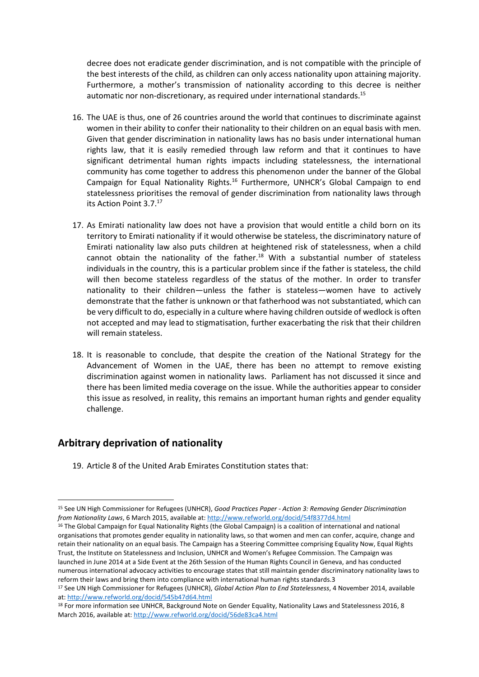decree does not eradicate gender discrimination, and is not compatible with the principle of the best interests of the child, as children can only access nationality upon attaining majority. Furthermore, a mother's transmission of nationality according to this decree is neither automatic nor non-discretionary, as required under international standards.<sup>15</sup>

- 16. The UAE is thus, one of 26 countries around the world that continues to discriminate against women in their ability to confer their nationality to their children on an equal basis with men. Given that gender discrimination in nationality laws has no basis under international human rights law, that it is easily remedied through law reform and that it continues to have significant detrimental human rights impacts including statelessness, the international community has come together to address this phenomenon under the banner of the Global Campaign for Equal Nationality Rights.<sup>16</sup> Furthermore, UNHCR's Global Campaign to end statelessness prioritises the removal of gender discrimination from nationality laws through its Action Point 3.7.<sup>17</sup>
- 17. As Emirati nationality law does not have a provision that would entitle a child born on its territory to Emirati nationality if it would otherwise be stateless, the discriminatory nature of Emirati nationality law also puts children at heightened risk of statelessness, when a child cannot obtain the nationality of the father.<sup>18</sup> With a substantial number of stateless individuals in the country, this is a particular problem since if the father is stateless, the child will then become stateless regardless of the status of the mother. In order to transfer nationality to their children—unless the father is stateless—women have to actively demonstrate that the father is unknown or that fatherhood was not substantiated, which can be very difficult to do, especially in a culture where having children outside of wedlock is often not accepted and may lead to stigmatisation, further exacerbating the risk that their children will remain stateless.
- 18. It is reasonable to conclude, that despite the creation of the National Strategy for the Advancement of Women in the UAE, there has been no attempt to remove existing discrimination against women in nationality laws. Parliament has not discussed it since and there has been limited media coverage on the issue. While the authorities appear to consider this issue as resolved, in reality, this remains an important human rights and gender equality challenge.

#### **Arbitrary deprivation of nationality**

**.** 

19. Article 8 of the United Arab Emirates Constitution states that:

<sup>15</sup> See UN High Commissioner for Refugees (UNHCR), *Good Practices Paper - Action 3: Removing Gender Discrimination from Nationality Laws*, 6 March 2015, available at:<http://www.refworld.org/docid/54f8377d4.html>

<sup>&</sup>lt;sup>16</sup> The Global Campaign for Equal Nationality Rights (the Global Campaign) is a coalition of international and national organisations that promotes gender equality in nationality laws, so that women and men can confer, acquire, change and retain their nationality on an equal basis. The Campaign has a Steering Committee comprising Equality Now, Equal Rights Trust, the Institute on Statelessness and Inclusion, UNHCR and Women's Refugee Commission. The Campaign was launched in June 2014 at a Side Event at the 26th Session of the Human Rights Council in Geneva, and has conducted numerous international advocacy activities to encourage states that still maintain gender discriminatory nationality laws to reform their laws and bring them into compliance with international human rights standards.3

<sup>17</sup> See UN High Commissioner for Refugees (UNHCR), *Global Action Plan to End Statelessness*, 4 November 2014, available at:<http://www.refworld.org/docid/545b47d64.html>

<sup>18</sup> For more information see UNHCR, Background Note on Gender Equality, Nationality Laws and Statelessness 2016, 8 March 2016, available at[: http://www.refworld.org/docid/56de83ca4.html](http://www.refworld.org/docid/56de83ca4.html)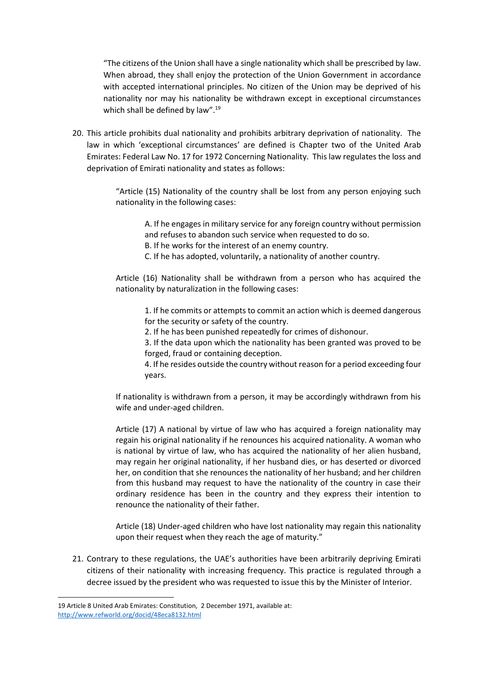"The citizens of the Union shall have a single nationality which shall be prescribed by law. When abroad, they shall enjoy the protection of the Union Government in accordance with accepted international principles. No citizen of the Union may be deprived of his nationality nor may his nationality be withdrawn except in exceptional circumstances which shall be defined by law".<sup>19</sup>

20. This article prohibits dual nationality and prohibits arbitrary deprivation of nationality. The law in which 'exceptional circumstances' are defined is Chapter two of the United Arab Emirates: Federal Law No. 17 for 1972 Concerning Nationality. This law regulates the loss and deprivation of Emirati nationality and states as follows:

> "Article (15) Nationality of the country shall be lost from any person enjoying such nationality in the following cases:

A. If he engages in military service for any foreign country without permission and refuses to abandon such service when requested to do so.

B. If he works for the interest of an enemy country.

C. If he has adopted, voluntarily, a nationality of another country.

Article (16) Nationality shall be withdrawn from a person who has acquired the nationality by naturalization in the following cases:

1. If he commits or attempts to commit an action which is deemed dangerous for the security or safety of the country.

2. If he has been punished repeatedly for crimes of dishonour.

3. If the data upon which the nationality has been granted was proved to be forged, fraud or containing deception.

4. If he resides outside the country without reason for a period exceeding four years.

If nationality is withdrawn from a person, it may be accordingly withdrawn from his wife and under-aged children.

Article (17) A national by virtue of law who has acquired a foreign nationality may regain his original nationality if he renounces his acquired nationality. A woman who is national by virtue of law, who has acquired the nationality of her alien husband, may regain her original nationality, if her husband dies, or has deserted or divorced her, on condition that she renounces the nationality of her husband; and her children from this husband may request to have the nationality of the country in case their ordinary residence has been in the country and they express their intention to renounce the nationality of their father.

Article (18) Under-aged children who have lost nationality may regain this nationality upon their request when they reach the age of maturity."

21. Contrary to these regulations, the UAE's authorities have been arbitrarily depriving Emirati citizens of their nationality with increasing frequency. This practice is regulated through a decree issued by the president who was requested to issue this by the Minister of Interior.

<sup>19</sup> Article 8 United Arab Emirates: Constitution, 2 December 1971, available at: <http://www.refworld.org/docid/48eca8132.html>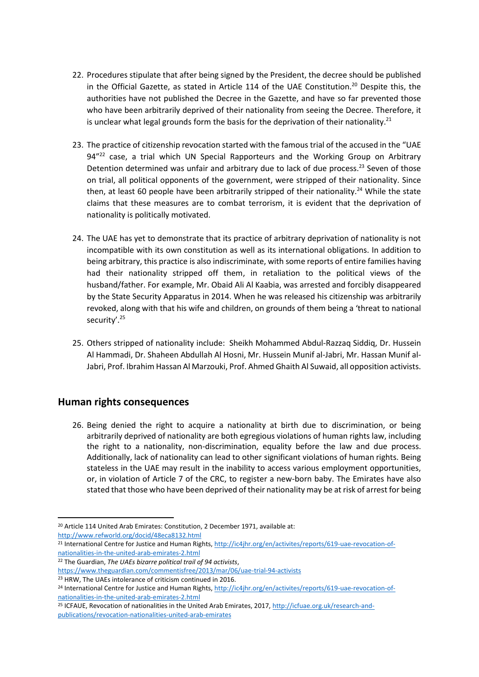- 22. Procedures stipulate that after being signed by the President, the decree should be published in the Official Gazette, as stated in Article 114 of the UAE Constitution.<sup>20</sup> Despite this, the authorities have not published the Decree in the Gazette, and have so far prevented those who have been arbitrarily deprived of their nationality from seeing the Decree. Therefore, it is unclear what legal grounds form the basis for the deprivation of their nationality.<sup>21</sup>
- 23. The practice of citizenship revocation started with the famous trial of the accused in the "UAE 94"<sup>22</sup> case, a trial which UN Special Rapporteurs and the Working Group on Arbitrary Detention determined was unfair and arbitrary due to lack of due process.<sup>23</sup> Seven of those on trial, all political opponents of the government, were stripped of their nationality. Since then, at least 60 people have been arbitrarily stripped of their nationality.<sup>24</sup> While the state claims that these measures are to combat terrorism, it is evident that the deprivation of nationality is politically motivated.
- 24. The UAE has yet to demonstrate that its practice of arbitrary deprivation of nationality is not incompatible with its own constitution as well as its international obligations. In addition to being arbitrary, this practice is also indiscriminate, with some reports of entire families having had their nationality stripped off them, in retaliation to the political views of the husband/father. For example, Mr. Obaid Ali Al Kaabia, was arrested and forcibly disappeared by the State Security Apparatus in 2014. When he was released his citizenship was arbitrarily revoked, along with that his wife and children, on grounds of them being a 'threat to national security'. 25
- 25. Others stripped of nationality include: Sheikh Mohammed Abdul-Razzaq Siddiq, Dr. Hussein Al Hammadi, Dr. Shaheen Abdullah Al Hosni, Mr. Hussein Munif al-Jabri, Mr. Hassan Munif al-Jabri, Prof. Ibrahim Hassan Al Marzouki, Prof. Ahmed Ghaith Al Suwaid, all opposition activists.

### **Human rights consequences**

26. Being denied the right to acquire a nationality at birth due to discrimination, or being arbitrarily deprived of nationality are both egregious violations of human rights law, including the right to a nationality, non-discrimination, equality before the law and due process. Additionally, lack of nationality can lead to other significant violations of human rights. Being stateless in the UAE may result in the inability to access various employment opportunities, or, in violation of Article 7 of the CRC, to register a new-born baby. The Emirates have also stated that those who have been deprived of their nationality may be at risk of arrest for being

<http://www.refworld.org/docid/48eca8132.html>

1

<sup>23</sup> HRW, The UAEs intolerance of criticism continued in 2016.

<sup>20</sup> Article 114 United Arab Emirates: Constitution, 2 December 1971, available at:

<sup>&</sup>lt;sup>21</sup> International Centre for Justice and Human Rights[, http://ic4jhr.org/en/activites/reports/619-uae-revocation-of](http://ic4jhr.org/en/activites/reports/619-uae-revocation-of-nationalities-in-the-united-arab-emirates-2.html)[nationalities-in-the-united-arab-emirates-2.html](http://ic4jhr.org/en/activites/reports/619-uae-revocation-of-nationalities-in-the-united-arab-emirates-2.html)

<sup>22</sup> The Guardian, *The UAEs bizarre political trail of 94 activists*,

<https://www.theguardian.com/commentisfree/2013/mar/06/uae-trial-94-activists>

<sup>&</sup>lt;sup>24</sup> International Centre for Justice and Human Rights[, http://ic4jhr.org/en/activites/reports/619-uae-revocation-of](http://ic4jhr.org/en/activites/reports/619-uae-revocation-of-nationalities-in-the-united-arab-emirates-2.html)[nationalities-in-the-united-arab-emirates-2.html](http://ic4jhr.org/en/activites/reports/619-uae-revocation-of-nationalities-in-the-united-arab-emirates-2.html)

<sup>25</sup> ICFAUE, Revocation of nationalities in the United Arab Emirates, 2017, [http://icfuae.org.uk/research-and](http://icfuae.org.uk/research-and-publications/revocation-nationalities-united-arab-emirates)[publications/revocation-nationalities-united-arab-emirates](http://icfuae.org.uk/research-and-publications/revocation-nationalities-united-arab-emirates)